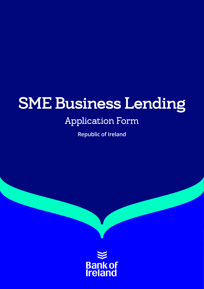# SME Business Lending

## Application Form

**Republic of Ireland**

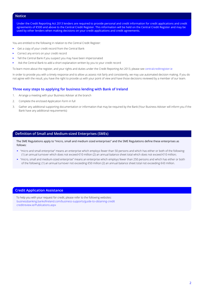#### **Notice**

Under the Credit Reporting Act 2013 lenders are required to provide personal and credit information for credit applications and credit agreements of €500 and above to the Central Credit Register. This information will be held on the Central Credit Register and may be used by other lenders when making decisions on your credit applications and credit agreements.

You are entitled to the following in relation to the Central Credit Register:

- Get a copy of your credit record from the Central Bank
- Correct any errors on your credit record
- Tell the Central Bank if you suspect you may have been impersonated
- Ask the Central Bank to add a short explanation written by you to your credit record

To learn more about the register, and your rights and duties under the Credit Reporting Act 2013, please see [centralcreditregister.ie](http://centralcreditregister.ie)

In order to provide you with a timely response and to allow us assess risk fairly and consistently, we may use automated decision making. If you do not agree with the result, you have the right to provide us with your point of view and have those decisions reviewed by a member of our team.

#### **Three easy steps to applying for business lending with Bank of Ireland**

- 1. Arrange a meeting with your Business Adviser at the branch
- 2. Complete the enclosed Application Form in full
- 3. Gather any additional supporting documentation or information that may be required by the Bank (Your Business Adviser will inform you if the Bank have any additional requirements)

#### **Definition of Small and Medium-sized Enterprises (SMEs)**

The SME Regulations apply to "micro, small and medium sized enterprises" and the SME Regulations define these enterprises as follows:

- "micro and small enterprise" means an enterprise which employs fewer than 50 persons and which has either or both of the following: (1) an annual turnover which does not exceed €10 million (2) an annual balance sheet total which does not exceed €10 million;
- "micro, small and medium-sized enterprise" means an enterprise which employs fewer than 250 persons and which has either or both of the following: (1) an annual turnover not exceeding €50 million (2) an annual balance sheet total not exceeding €43 million.

#### **Credit Application Assistance**

To help you with your request for credit, please refer to the following websites: [businessbanking.bankofireland.com/business-supports/guide-to-obtaining-credit](http://businessbanking.bankofireland.com/business-supports/guide-to-obtaining-credit)  [creditreview.ie/Publications.aspx](http://creditreview.ie)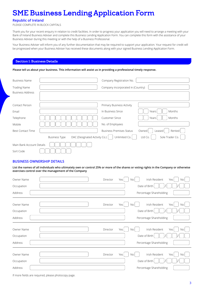### SME Business Lending Application Form

#### **Republic of Ireland**

PLEASE COMPLETE IN BLOCK CAPITALS

Thank you for your recent enquiry in relation to credit facilities. In order to progress your application you will need to arrange a meeting with your Bank of Ireland Business Adviser and complete this Business Lending Application Form. You can complete this form with the assistance of your Business Adviser during this meeting or with the help of a Business Professional.

Your Business Adviser will inform you of any further documentation that may be required to support your application. Your request for credit will be progressed when your Business Adviser has received these documents along with your signed Business Lending Application Form.

#### Section 1: Business Details

#### **Please tell us about your business. This information will assist us in providing a professional timely response.**

| <b>Business Name</b>                                                                                 |  | Company Registration No.          |                           |  |
|------------------------------------------------------------------------------------------------------|--|-----------------------------------|---------------------------|--|
| <b>Trading Name</b>                                                                                  |  | Company incorporated in (Country) |                           |  |
| <b>Business Address</b>                                                                              |  |                                   |                           |  |
|                                                                                                      |  |                                   |                           |  |
| Contact Person                                                                                       |  | Primary Business Activity         |                           |  |
| Email                                                                                                |  | In Business Since                 | Months<br>Years           |  |
| Telephone                                                                                            |  | <b>Customer Since</b>             | Months<br>Years           |  |
| Mobile                                                                                               |  | No. of Employees                  |                           |  |
| <b>Best Contact Time</b>                                                                             |  | <b>Business Premises Status</b>   | Owned<br>Rented<br>Leased |  |
| DAC (Designated Activity Co.)<br>Unlimited Co.<br>Sole Trader Co.<br>Ltd Co.<br><b>Business Type</b> |  |                                   |                           |  |
| Main Bank Account Details                                                                            |  |                                   |                           |  |
| Sort Code                                                                                            |  |                                   |                           |  |

#### **BUSINESS OWNERSHIP DETAILS**

**List the names of all individuals who ultimately own or control 25% or more of the shares or voting rights in the Company or otherwise exercises control over the management of the Company**

| Owner Name | Irish Resident<br>Director<br>Yes<br>Yes<br><b>No</b><br>No.      |
|------------|-------------------------------------------------------------------|
| Occupation | Date of Birth                                                     |
| Address    | Percentage Shareholding                                           |
| Owner Name | Irish Resident<br>Director<br>Yes<br>Yes<br><b>No</b><br>No       |
| Occupation | Date of Birth                                                     |
| Address    | Percentage Shareholding                                           |
| Owner Name | Irish Resident<br>Director<br>Yes<br>Yes<br>No.<br><b>No</b>      |
| Occupation | Date of Birth                                                     |
| Address    | Percentage Shareholding                                           |
| Owner Name | Irish Resident<br>Director<br>Yes<br>Yes<br>No<br>No <sub>1</sub> |
| Occupation | Date of Birth                                                     |
| Address    | Percentage Shareholding                                           |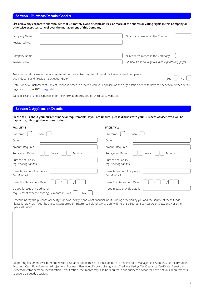#### Section 1: Business Details (Cond't)

**List below any corporate shareholder that ultimately owns or controls 10% or more of the shares or voting rights in this Company or otherwise exercises control over the management of this Company**

| Company Name   | % of shares owned in the Company                     |  |
|----------------|------------------------------------------------------|--|
| Registered No. |                                                      |  |
|                |                                                      |  |
| Company Name   | % of shares owned in the Company                     |  |
| Registered No. | (If more fields are required, please photocopy page) |  |

Are your beneficial owner details registered on the Central Register of Beneficial Ownership of Companies and Industrial and Provident Societies (RBO)?  $\Box$  No

Note: For new Customers of Bank of Ireland in order to proceed with your application the organisation needs to have the beneficial owner details registered on the RBO ([rbo.gov.ie](http://rbo.gov.ie))

Bank of Ireland is not responsible for the information provided on third party websites.

#### Section 2: Application Details

**Please tell us about your current financial requirements. If you are unsure, please discuss with your Business Adviser, who will be happy to go through the various options.**

| <b>FACILITY 1</b>                                                                     | <b>FACILITY 2</b>                            |
|---------------------------------------------------------------------------------------|----------------------------------------------|
| Overdraft<br>Loan                                                                     | Overdraft<br>Loan                            |
| Other                                                                                 | Other                                        |
| Amount Required                                                                       | Amount Required                              |
| Repayment Period<br>Months<br>Years                                                   | Repayment Period<br>Months<br>Years          |
| Purpose of Facility<br>(eg. Working Capital)                                          | Purpose of Facility<br>(eg. Working Capital) |
| Loan Repayment Frequency<br>(eg. Monthly)                                             | Loan Repayment Frequency<br>(eg. Monthly)    |
| Loan First Repayment Date                                                             | Loan First Repayment Date                    |
| Do you foresee any additional<br>requirement over the coming 12 months?<br>No.<br>Yes | If yes, please provide details               |

Describe briefly the purpose of Facility 1 and/or Facility 2 and what financial input is being provided by you and the source of these funds. Please let us know if your business is supported by Enterprise Ireland, City & County Enterprise Boards, Business Agents etc. and / or other Specialist Funds.

Supporting documents will be required with your application, these may include but are not limited to Management Accounts, Certified/Audited Accounts, Cash Flow Statement/Projections, Business Plan, Aged Debtors Listing, Aged Creditors Listing, Tax Clearance Certificate. Beneficial Owners/director personal Identification & Verification Documents may also be required. Your business advisor will advise of your requirements to ensure a speedy decision.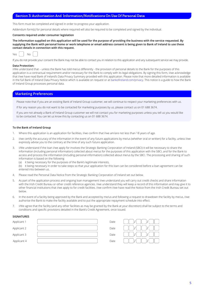#### Section 3: Authorisation And Information/Notifications On Use Of Personal Data

This form must be completed and signed in order to progress your application.

Addendum form(s) for personal details where required will also be required to be completed and signed by the individual.

#### **Consents required under consumer legislation**

**The information supplied on this application will be used for the purpose of providing the business with the service requested. By supplying the Bank with personal home or work telephone or email address consent is being given to Bank of Ireland to use these contact details in connection with this request.** 



If you do not provide your consent the Bank may not be able to contact you in relation to this application and any subsequent service we may provide.

#### **Data Protection:**

I/We understand that – unless the Bank has told me/us differently - the provision of personal details to the Bank for the purposes of this application is a contractual requirement and/or necessary for the Bank to comply with its legal obligations. By signing this form, I/we acknowledge that I/we have read Bank of Ireland's Data Privacy Summary provided with this application. Please note that more detailed information is available in the full Bank of Ireland Data Privacy Notice which is available on request or at [bankofireland.com/privacy](http://bankofireland.com/privacy). This notice is a guide to how the Bank of Ireland Group processes personal data.

#### **Marketing Preferences**

Please note that if you are an existing Bank of Ireland Group customer, we will continue to respect your marketing preferences with us.

If for any reason you do not want to be contacted for marketing purposes by us, please contact us on 01 688 3674.

If you are not already a Bank of Ireland Group customer we will not contact you for marketing purposes unless you tell us you would like to be contacted. You can let us know this by contacting us on 01 688 3674.

#### **To the Bank of Ireland Group**

- 1. Where this application is an application for facilities, I/we confirm that l/we am/are not less than 18 years of age.
- 2. I/we certify the accuracy of the information in the event of any future applications by me/us (whether oral or written) for a facility, unless l/we expressly advise you to the contrary at the time of any such future application.
- 3. I/We understand if the loan I/we apply for involves the Strategic Banking Corporation of Ireland (SBCI) it will be necessary to share the information (including personal information) collected about me/us for the purposes of this application with the SBCI, and for the Bank to access and process the information (including personal information) collected about me/us by the SBCI. The processing and sharing of such information is based on the following
	- (a) it being necessary for the purposes of the Bank's legitimate interests,
	- (b) it being necessary in order to take steps so that your application for this loan can be considered before a loan agreement can be entered into between us.
- 4. Please read the Personal Data Notice from the Strategic Banking Corporation of Ireland set out below.
- 5. As part of the application process and ongoing loan management I/we understand you will carry out credit checks and share information with the Irish Credit Bureau or other credit reference agencies. I/we understand they will keep a record of this information and may give it to other financial institutions that I/we apply to for credit facilities. I/we confirm I/we have read the Notice from the Irish Credit Bureau set out below.
- 6. In the event of a facility being approved by the Bank and accepted by me/us and following a request to drawdown the facility by me/us, I/we authorise the Bank to make the facility available and to put the appropriate repayment schedule into effect.
- 7. I/We agree that the facility (and any other facilities as may be granted by the Bank at your discretion) shall be subject to the terms and conditions and specific provisions detailed in the Bank's Credit Agreement, once issued.

#### **SIGNATURES**

| Applicant 1 | Date |  |
|-------------|------|--|
| Applicant 2 | Date |  |
| Applicant 3 | Date |  |
| Applicant 4 | Date |  |
|             |      |  |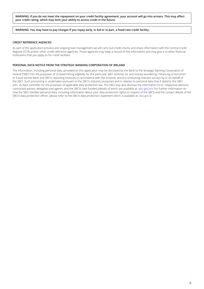**WARNING: If you do not meet the repayment on your credit facility agreement, your account will go into arrears. This may affect your credit rating, which may limit your ability to access credit in the future.**

#### **WARNING: You may have to pay charges if you repay early, in full or in part, a fixed-rate credit facility.**

#### **CREDIT REFERENCE AGENCIES**

As part of the application process and ongoing loan management we will carry out credit checks and share information with the Central Credit Register (CCR) and/or other credit reference agencies. Those agencies may keep a record of this information and may give it to other financial institutions that you apply to for credit facilities.

#### **PERSONAL DATA NOTICE FROM THE STRATEGIC BANKING CORPORATION OF IRELAND**

The information, including personal data, provided on this application may be disclosed by the Bank to the Strategic Banking Corporation of Ireland ("SBCI") for the purposes of: (i) determining eligibility for the particular SBCI Scheme; (ii) anti-money laundering / financing of terrorism or fraud; (iii) the Bank and SBCI's reporting functions in accordance with the Scheme; and (iv) conducting relevant surveys by or on behalf of the SBCI. Such processing is undertaken pursuant to the SBCI's statutory purposes and in relation to personal data that it obtains, the SBCI acts as data controller for the purposes of applicable data protection law. The SBCI may also disclose the information to its respective advisors, contracted parties, delegates and agents, and the SBCI's own funders (details of which are available at: [sbci.gov.ie](http://sbci.gov.ie)/). For further information on how the SBCI handles personal data, including information about your data protection rights (in respect of the SBCI) and the contact details of the SBCI's data protection officer, please refer to the SBCI's data protection statement which is available at: [sbci.gov.ie](http://sbci.gov.ie)